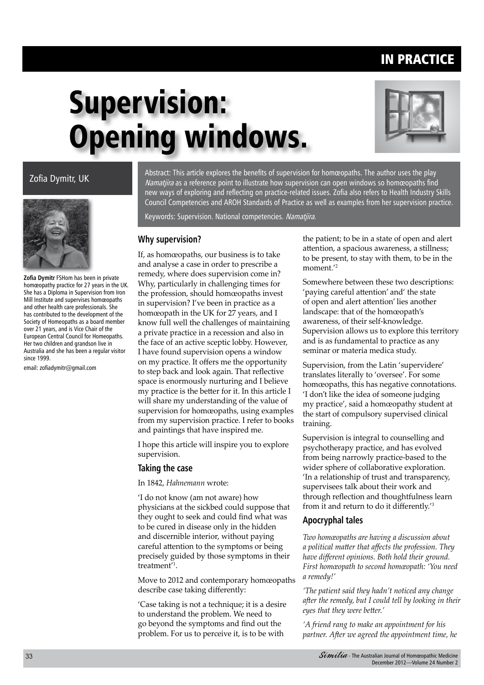# IN PRACTICE

# Supervision: Opening windows.



# Zofia Dymitr, UK



**Zofia Dymitr** FSHom has been in private homœopathy practice for 27 years in the UK. She has a Diploma in Supervision from Iron Mill Institute and supervises homœopaths and other health care professionals. She has contributed to the development of the Society of Homeopaths as a board member over 21 years, and is Vice Chair of the European Central Council for Homeopaths. Her two children and grandson live in Australia and she has been a regular visitor since 1999.

email: zofiadymitr@gmail.com

Abstract: This article explores the benefits of supervision for homœopaths. The author uses the play Namatjira as a reference point to illustrate how supervision can open windows so homœopaths find new ways of exploring and reflecting on practice-related issues. Zofia also refers to Health Industry Skills Council Competencies and AROH Standards of Practice as well as examples from her supervision practice.

Keywords: Supervision. National competencies. Namatjira.

## **Why supervision?**

If, as homœopaths, our business is to take and analyse a case in order to prescribe a remedy, where does supervision come in? Why, particularly in challenging times for the profession, should homœopaths invest in supervision? I've been in practice as a homœopath in the UK for 27 years, and I know full well the challenges of maintaining a private practice in a recession and also in the face of an active sceptic lobby. However, I have found supervision opens a window on my practice. It offers me the opportunity to step back and look again. That reflective space is enormously nurturing and I believe my practice is the better for it. In this article I will share my understanding of the value of supervision for homœopaths, using examples from my supervision practice. I refer to books and paintings that have inspired me.

I hope this article will inspire you to explore supervision.

#### **Taking the case**

In 1842, *Hahnemann* wrote:

'I do not know (am not aware) how physicians at the sickbed could suppose that they ought to seek and could find what was to be cured in disease only in the hidden and discernible interior, without paying careful attention to the symptoms or being precisely guided by those symptoms in their treatment'1 .

Move to 2012 and contemporary homœopaths describe case taking differently:

'Case taking is not a technique; it is a desire to understand the problem. We need to go beyond the symptoms and find out the problem. For us to perceive it, is to be with

the patient; to be in a state of open and alert attention, a spacious awareness, a stillness; to be present, to stay with them, to be in the moment.'2

Somewhere between these two descriptions: 'paying careful attention' and' the state of open and alert attention' lies another landscape: that of the homœopath's awareness, of their self-knowledge. Supervision allows us to explore this territory and is as fundamental to practice as any seminar or materia medica study.

Supervision, from the Latin 'supervidere' translates literally to 'oversee'. For some homœopaths, this has negative connotations. 'I don't like the idea of someone judging my practice', said a homœopathy student at the start of compulsory supervised clinical training.

Supervision is integral to counselling and psychotherapy practice, and has evolved from being narrowly practice-based to the wider sphere of collaborative exploration. 'In a relationship of trust and transparency, supervisees talk about their work and through reflection and thoughtfulness learn from it and return to do it differently.'3

## **Apocryphal tales**

*Two homœopaths are having a discussion about a political matter that affects the profession. They have different opinions. Both hold their ground. First homœopath to second homœopath: 'You need a remedy!'*

*'The patient said they hadn't noticed any change after the remedy, but I could tell by looking in their eyes that they were better.'* 

*'A friend rang to make an appointment for his partner. After we agreed the appointment time, he*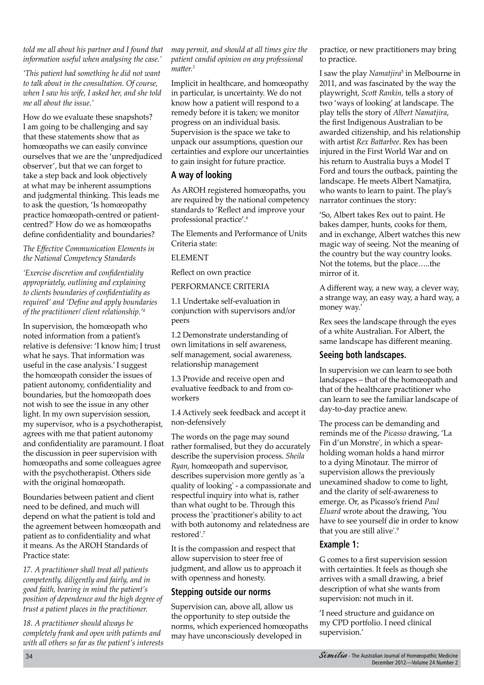*told me all about his partner and I found that information useful when analysing the case.'*

*'This patient had something he did not want to talk about in the consultation. Of course, when I saw his wife, I asked her, and she told me all about the issue.'*

How do we evaluate these snapshots? I am going to be challenging and say that these statements show that as homœopaths we can easily convince ourselves that we are the 'unpredjudiced observer', but that we can forget to take a step back and look objectively at what may be inherent assumptions and judgmental thinking. This leads me to ask the question, 'Is homœopathy practice homœopath-centred or patientcentred?' How do we as homœopaths define confidentiality and boundaries?

#### *The Effective Communication Elements in the National Competency Standards*

*'Exercise discretion and confidentiality appropriately, outlining and explaining to clients boundaries of confidentiality as required' and 'Define and apply boundaries of the practitioner/ client relationship.'4*

In supervision, the homœopath who noted information from a patient's relative is defensive: 'I know him; I trust what he says. That information was useful in the case analysis.' I suggest the homœopath consider the issues of patient autonomy, confidentiality and boundaries, but the homœopath does not wish to see the issue in any other light. In my own supervision session, my supervisor, who is a psychotherapist, agrees with me that patient autonomy and confidentiality are paramount. I float the discussion in peer supervision with homœopaths and some colleagues agree with the psychotherapist. Others side with the original homœopath.

Boundaries between patient and client need to be defined, and much will depend on what the patient is told and the agreement between homœopath and patient as to confidentiality and what it means. As the AROH Standards of Practice state:

*17. A practitioner shall treat all patients competently, diligently and fairly, and in good faith, bearing in mind the patient's position of dependence and the high degree of trust a patient places in the practitioner.*

*18. A practitioner should always be completely frank and open with patients and with all others so far as the patient's interests* 

#### *may permit, and should at all times give the patient candid opinion on any professional matter.5*

Implicit in healthcare, and homœopathy in particular, is uncertainty. We do not know how a patient will respond to a remedy before it is taken; we monitor progress on an individual basis. Supervision is the space we take to unpack our assumptions, question our certainties and explore our uncertainties to gain insight for future practice.

# **A way of looking**

As AROH registered homœopaths, you are required by the national competency standards to 'Reflect and improve your professional practice'.6

The Elements and Performance of Units Criteria state:

#### ELEMENT

Reflect on own practice

PERFORMANCE CRITERIA

1.1 Undertake self-evaluation in conjunction with supervisors and/or peers

1.2 Demonstrate understanding of own limitations in self awareness, self management, social awareness, relationship management

1.3 Provide and receive open and evaluative feedback to and from coworkers

1.4 Actively seek feedback and accept it non-defensively

The words on the page may sound rather formalised, but they do accurately describe the supervision process. *Sheila Ryan*, homœopath and supervisor, describes supervision more gently as 'a quality of looking' - a compassionate and respectful inquiry into what is, rather than what ought to be. Through this process the 'practitioner's ability to act with both autonomy and relatedness are restored'.7

It is the compassion and respect that allow supervision to steer free of judgment, and allow us to approach it with openness and honesty.

## **Stepping outside our norms**

Supervision can, above all, allow us the opportunity to step outside the norms, which experienced homœopaths may have unconsciously developed in

practice, or new practitioners may bring to practice.

I saw the play *Namatjira*<sup>5</sup> in Melbourne in 2011, and was fascinated by the way the playwright, *Scott Rankin*, tells a story of two 'ways of looking' at landscape. The play tells the story of *Albert Namatjira*, the first Indigenous Australian to be awarded citizenship, and his relationship with artist *Rex Battarbee*. Rex has been injured in the First World War and on his return to Australia buys a Model T Ford and tours the outback, painting the landscape. He meets Albert Namatjira, who wants to learn to paint. The play's narrator continues the story:

'So, Albert takes Rex out to paint. He bakes damper, hunts, cooks for them, and in exchange, Albert watches this new magic way of seeing. Not the meaning of the country but the way country looks. Not the totems, but the place…..the mirror of it.

A different way, a new way, a clever way, a strange way, an easy way, a hard way, a money way.'

Rex sees the landscape through the eyes of a white Australian. For Albert, the same landscape has different meaning.

## **Seeing both landscapes.**

In supervision we can learn to see both landscapes – that of the homœopath and that of the healthcare practitioner who can learn to see the familiar landscape of day-to-day practice anew.

The process can be demanding and reminds me of the *Picasso* drawing, 'La Fin d'un Monstre', in which a spearholding woman holds a hand mirror to a dying Minotaur. The mirror of supervision allows the previously unexamined shadow to come to light, and the clarity of self-awareness to emerge. Or, as Picasso's friend *Paul Eluard* wrote about the drawing, 'You have to see yourself die in order to know that you are still alive'.9

# **Example 1:**

G comes to a first supervision session with certainties. It feels as though she arrives with a small drawing, a brief description of what she wants from supervision: not much in it.

'I need structure and guidance on my CPD portfolio. I need clinical supervision.'